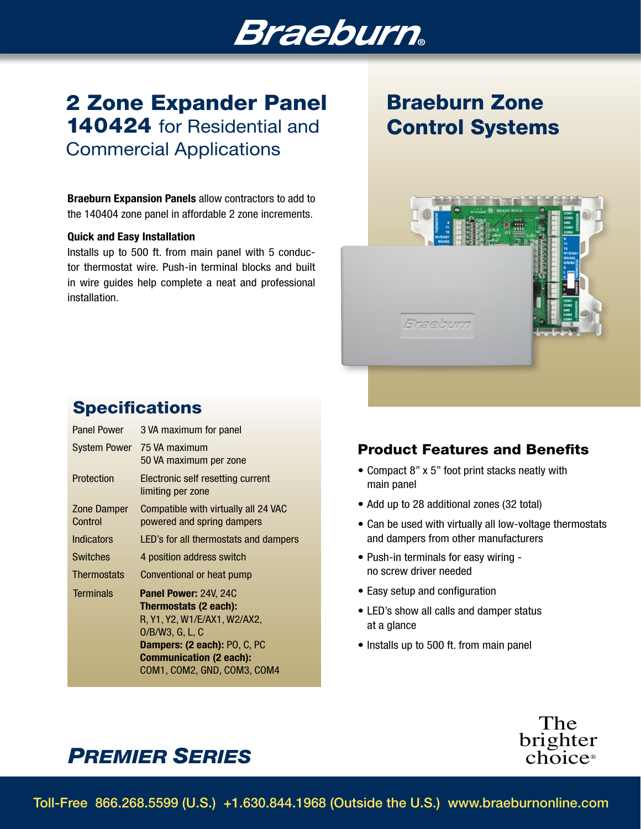# **Braeburn**

## 2 Zone Expander Panel 140424 for Residential and Commercial Applications

Braeburn Expansion Panels allow contractors to add to the 140404 zone panel in affordable 2 zone increments.

#### Quick and Easy Installation

Installs up to 500 ft. from main panel with 5 conductor thermostat wire. Push-in terminal blocks and built in wire guides help complete a neat and professional installation.

## Braeburn Zone Control Systems



### **Specifications**

| <b>Panel Power</b>     | 3 VA maximum for panel                                                                                                                                                                                       |
|------------------------|--------------------------------------------------------------------------------------------------------------------------------------------------------------------------------------------------------------|
|                        | System Power 75 VA maximum<br>50 VA maximum per zone                                                                                                                                                         |
| Protection             | Electronic self resetting current<br>limiting per zone                                                                                                                                                       |
| Zone Damper<br>Control | Compatible with virtually all 24 VAC<br>powered and spring dampers                                                                                                                                           |
| <b>Indicators</b>      | LED's for all thermostats and dampers                                                                                                                                                                        |
| <b>Switches</b>        | 4 position address switch                                                                                                                                                                                    |
| <b>Thermostats</b>     | Conventional or heat pump                                                                                                                                                                                    |
| Terminals              | <b>Panel Power: 24V, 24C</b><br>Thermostats (2 each):<br>R, Y1, Y2, W1/E/AX1, W2/AX2,<br>$O/B/W3$ , G, L, C<br>Dampers: (2 each): PO, C, PC<br><b>Communication (2 each):</b><br>COM1, COM2, GND, COM3, COM4 |

### Product Features and Benefits

- Compact 8" x 5" foot print stacks neatly with main panel
- Add up to 28 additional zones (32 total)
- Can be used with virtually all low-voltage thermostats and dampers from other manufacturers
- Push-in terminals for easy wiring no screw driver needed
- Easy setup and configuration
- LED's show all calls and damper status at a glance
- Installs up to 500 ft. from main panel



## *PREMIER SERIES*